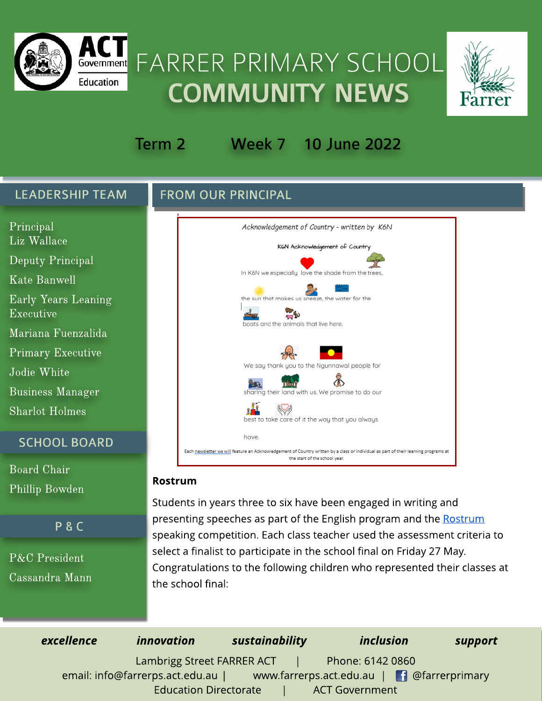

# Government FARRER PRIMARY SCHOOL **COMMUNITY NEWS**



# Term 2 Week 7 10 June 2022

#### LEADERSHIP TEAM

P & C

Phillip Bowden

P&C President

Cassandra Mann

**FROM OUR PRINCIPAL** 



#### Rostrum

Students in years three to six have been engaged in writing and presenting speeches as part of the English program and the [Rostrum](https://www.rostrum.com.au/act-primary-schools-speaking-competition) speaking competition. Each class teacher used the assessment criteria to select a finalist to participate in the school final on Friday 27 May. Congratulations to the following children who represented their classes at the school final:

| excellence | <i>innovation</i>               |  | sustainability |                                            | <i>inclusion</i> |  |
|------------|---------------------------------|--|----------------|--------------------------------------------|------------------|--|
|            | Lambrigg Street FARRER ACT      |  |                | Phone: 6142 0860                           |                  |  |
|            | email: info@farrerps.act.edu.au |  |                | www.farrerps.act.edu.au   1 @farrerprimary |                  |  |
|            | <b>Education Directorate</b>    |  |                | <b>ACT Government</b>                      |                  |  |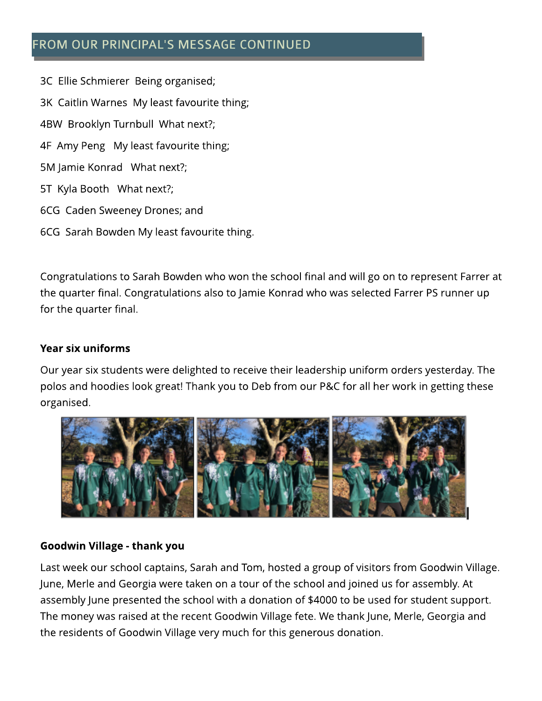# FROM OUR PRINCIPAL'S MESSAGE CONTINUED

3C Ellie Schmierer Being organised; 3K Caitlin Warnes My least favourite thing; 4BW Brooklyn Turnbull What next?; 4F Amy Peng My least favourite thing; 5M Jamie Konrad What next?; 5T Kyla Booth What next?; 6CG Caden Sweeney Drones; and 6CG Sarah Bowden My least favourite thing.

Congratulations to Sarah Bowden who won the school final and will go on to represent Farrer at the quarter final. Congratulations also to Jamie Konrad who was selected Farrer PS runner up for the quarter final.

#### Year six uniforms

Our year six students were delighted to receive their leadership uniform orders yesterday. The polos and hoodies look great! Thank you to Deb from our P&C for all her work in getting these organised.



#### Goodwin Village - thank you

Last week our school captains, Sarah and Tom, hosted a group of visitors from Goodwin Village. June, Merle and Georgia were taken on a tour of the school and joined us for assembly. At assembly June presented the school with a donation of \$4000 to be used for student support. The money was raised at the recent Goodwin Village fete. We thank June, Merle, Georgia and the residents of Goodwin Village very much for this generous donation.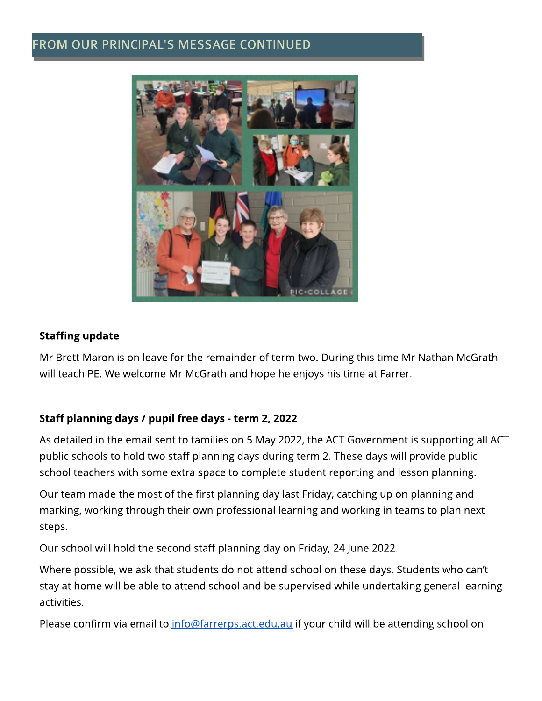## FROM OUR PRINCIPAL'S MESSAGE CONTINUED



#### **Staffing update**

Mr Brett Maron is on leave for the remainder of term two. During this time Mr Nathan McGrath will teach PE. We welcome Mr McGrath and hope he enjoys his time at Farrer.

#### Staff planning days / pupil free days - term 2, 2022

As detailed in the email sent to families on 5 May 2022, the ACT Government is supporting all ACT public schools to hold two staff planning days during term 2. These days will provide public school teachers with some extra space to complete student reporting and lesson planning.

Our team made the most of the first planning day last Friday, catching up on planning and marking, working through their own professional learning and working in teams to plan next steps.

Our school will hold the second staff planning day on Friday, 24 June 2022.

Where possible, we ask that students do not attend school on these days. Students who can't stay at home will be able to attend school and be supervised while undertaking general learning activities.

Please confirm via email to *info@farrerps.act.edu.au* if your child will be attending school on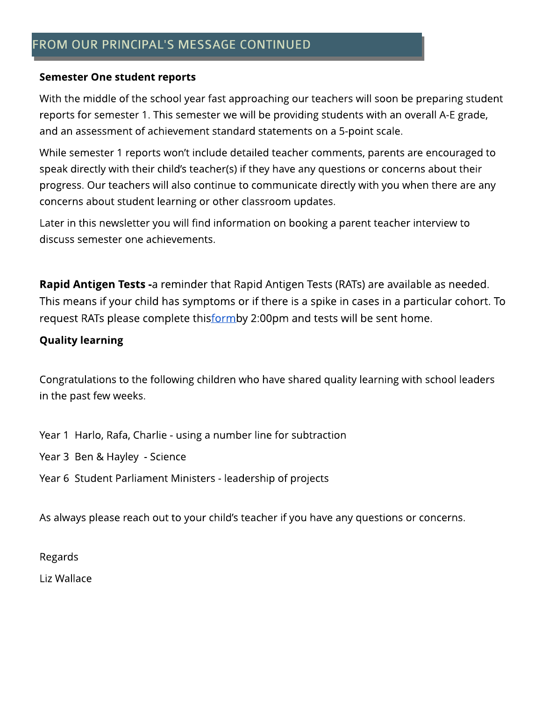#### Semester One student reports

With the middle of the school year fast approaching our teachers will soon be preparing student reports for semester 1. This semester we will be providing students with an overall A-Egrade, and an assessment of achievement standard statements on a 5-point scale.

While semester 1 reports won't include detailed teacher comments, parents are encouraged to speak directly with their child's teacher(s) if they have any questions or concerns about their progress. Our teachers will also continue to communicate directly with you when there are any concerns about student learning or other classroom updates.

Later in this newsletter you will find information on booking a parent teacher interview to discuss semester one achievements.

Rapid Antigen Tests -a reminder that Rapid Antigen Tests (RATs) are available as needed. This means if your child has symptoms or if there is a spike in cases in a particular cohort. To request RATs please complete thisformby 2:00pm and tests will be sent home.

#### **Quality learning**

Congratulations to the following children who have shared quality learning with school leaders in the past few weeks.

Year 1 Harlo, Rafa, Charlie - using a number line for subtraction

Year 3 Ben & Hayley - Science

Year 6 Student Parliament Ministers - leadership of projects

As always please reach out to your child's teacher if you have any questions or concerns.

Regards

Liz Wallace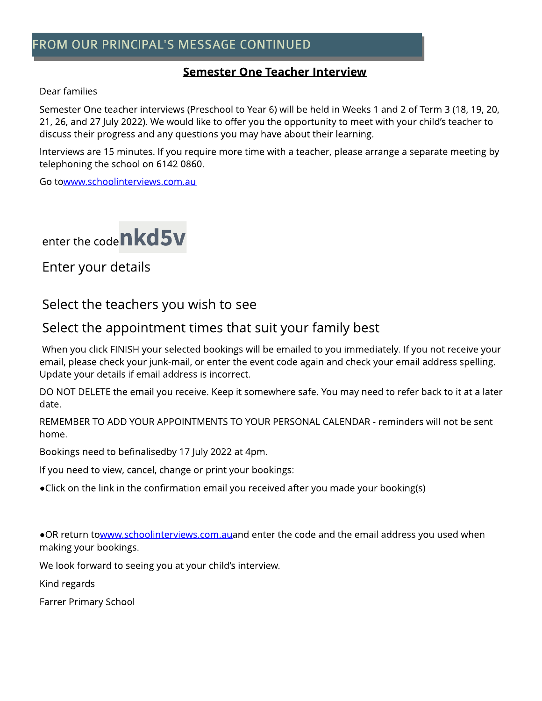# FROM OUR PRINCIPAL'S MESSAGE CONTINUED

#### **Semester One Teacher Interview**

#### Dear families

Semester One teacher interviews (Preschool to Year 6) will be held in Weeks 1 and 2 of Term 3 (18, 19, 20, 21, 26, and 27 July 2022). We would like to offer you the opportunity to meet with your child's teacher to discuss their progress and any questions you may have about their learning.

Interviews are 15 minutes. If you require more time with a teacher, please arrange a separate meeting by telephoning the school on 6142 0860.

Go to[www.schoolinterviews.com.au](http://www.schoolinterviews.com.au)



Enter your details

# Select the teachers you wish to see

# Select the appointment times that suit your family best

When you click FINISH your selected bookings will be emailed to you immediately. If you not receive your email, please check your junk-mail, or enter the event code again and check your email address spelling. Update your details if email address is incorrect.

DO NOT DELETE the email you receive. Keep it somewhere safe. You may need to refer back to it at a later date.

REMEMBER TO ADD YOUR APPOINTMENTS TO YOUR PERSONAL CALENDAR - reminders will not be sent home.

Bookings need to befinalisedby 17 July 2022 at 4pm.

If you need to view, cancel, change or print your bookings:

?Click on the link in the confirmation email you received after you made your booking(s)

. OR return to[www.schoolinterviews.com.aua](http://www.schoolinterviews.com.au)nd enter the code and the email address you used when making your bookings.

We look forward to seeing you at your child's interview.

Kind regards

Farrer Primary School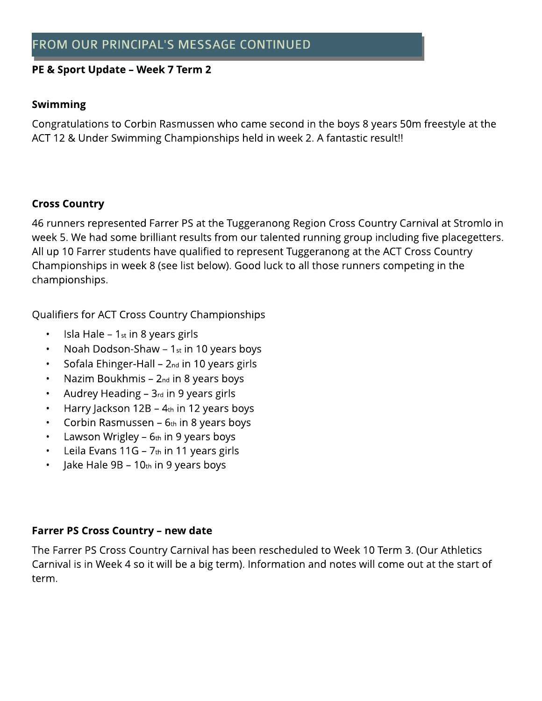#### PE & Sport Update - Week 7 Term 2

#### **Swimming**

Congratulations to Corbin Rasmussen who came second in the boys 8 years 50m freestyle at the ACT 12 & Under Swimming Championships held in week 2. A fantastic result!!

#### Cross Country

46 runners represented Farrer PS at the Tuggeranong Region Cross Country Carnival at Stromlo in week 5. We had some brilliant results from our talented running group including five placegetters. All up 10 Farrer students have qualified to represent Tuggeranong at the ACT Cross Country Championships in week 8 (see list below). Good luck to all those runners competing in the championships.

Qualifiers for ACT Cross Country Championships

- Isla Hale  $-1<sub>st</sub>$  in 8 years girls
- Noah Dodson-Shaw  $-1<sub>st</sub>$  in 10 years boys
- Sofala Ehinger-Hall  $2<sub>nd</sub>$  in 10 years girls
- Nazim Boukhmis  $-$  2<sub>nd</sub> in 8 years boys
- Audrey Heading  $-$  3 $_{rd}$  in 9 years girls
- Harry Jackson  $12B 4$ th in 12 years boys
- Corbin Rasmussen  $6<sub>th</sub>$  in 8 years boys
- Lawson Wrigley  $6<sub>th</sub>$  in 9 years boys
- Leila Evans 11G  $7<sub>th</sub>$  in 11 years girls
- Jake Hale  $9B 10$ th in 9 years boys

#### Farrer PS Cross Country - new date

The Farrer PS Cross Country Carnival has been rescheduled to Week 10 Term 3. (Our Athletics Carnival is in Week 4 so it will be a big term). Information and notes will come out at the start of term.